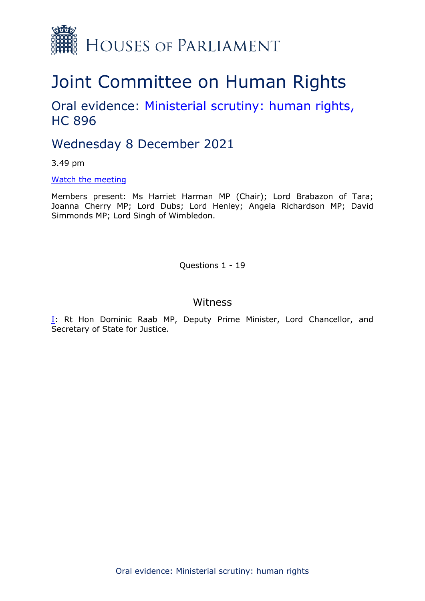

# Joint Committee on Human Rights

# Oral evidence: [Ministerial](https://committees.parliament.uk/work/1626/ministerial-scrutiny-human-rights/) [scrutiny:](https://committees.parliament.uk/work/1626/ministerial-scrutiny-human-rights/) [human](https://committees.parliament.uk/work/1626/ministerial-scrutiny-human-rights/) [rights,](https://committees.parliament.uk/work/1626/ministerial-scrutiny-human-rights/) HC 896

# Wednesday 8 December 2021

3.49 pm

## [Watch](https://parliamentlive.tv/event/index/54e1fe5a-9def-4b47-8546-34bf2424f277) [the](https://parliamentlive.tv/event/index/54e1fe5a-9def-4b47-8546-34bf2424f277) [meeting](https://parliamentlive.tv/event/index/54e1fe5a-9def-4b47-8546-34bf2424f277)

Members present: Ms Harriet Harman MP (Chair); Lord Brabazon of Tara; Joanna Cherry MP; Lord Dubs; Lord Henley; Angela Richardson MP; David Simmonds MP; Lord Singh of Wimbledon.

Questions 1 - 19

## Witness

[I:](#page-1-0) Rt Hon Dominic Raab MP, Deputy Prime Minister, Lord Chancellor, and Secretary of State for Justice.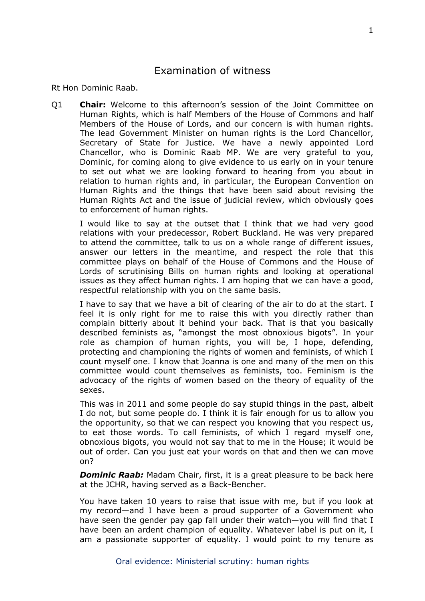## <span id="page-1-0"></span>Examination of witness

Rt Hon Dominic Raab.

Q1 **Chair:** Welcome to this afternoon's session of the Joint Committee on Human Rights, which is half Members of the House of Commons and half Members of the House of Lords, and our concern is with human rights. The lead Government Minister on human rights is the Lord Chancellor, Secretary of State for Justice. We have a newly appointed Lord Chancellor, who is Dominic Raab MP. We are very grateful to you, Dominic, for coming along to give evidence to us early on in your tenure to set out what we are looking forward to hearing from you about in relation to human rights and, in particular, the European Convention on Human Rights and the things that have been said about revising the Human Rights Act and the issue of judicial review, which obviously goes to enforcement of human rights.

I would like to say at the outset that I think that we had very good relations with your predecessor, Robert Buckland. He was very prepared to attend the committee, talk to us on a whole range of different issues, answer our letters in the meantime, and respect the role that this committee plays on behalf of the House of Commons and the House of Lords of scrutinising Bills on human rights and looking at operational issues as they affect human rights. I am hoping that we can have a good, respectful relationship with you on the same basis.

I have to say that we have a bit of clearing of the air to do at the start. I feel it is only right for me to raise this with you directly rather than complain bitterly about it behind your back. That is that you basically described feminists as, "amongst the most obnoxious bigots". In your role as champion of human rights, you will be, I hope, defending, protecting and championing the rights of women and feminists, of which I count myself one. I know that Joanna is one and many of the men on this committee would count themselves as feminists, too. Feminism is the advocacy of the rights of women based on the theory of equality of the sexes.

This was in 2011 and some people do say stupid things in the past, albeit I do not, but some people do. I think it is fair enough for us to allow you the opportunity, so that we can respect you knowing that you respect us, to eat those words. To call feminists, of which I regard myself one, obnoxious bigots, you would not say that to me in the House; it would be out of order. Can you just eat your words on that and then we can move on?

*Dominic Raab:* Madam Chair, first, it is a great pleasure to be back here at the JCHR, having served as a Back-Bencher.

You have taken 10 years to raise that issue with me, but if you look at my record—and I have been a proud supporter of a Government who have seen the gender pay gap fall under their watch—you will find that I have been an ardent champion of equality. Whatever label is put on it, I am a passionate supporter of equality. I would point to my tenure as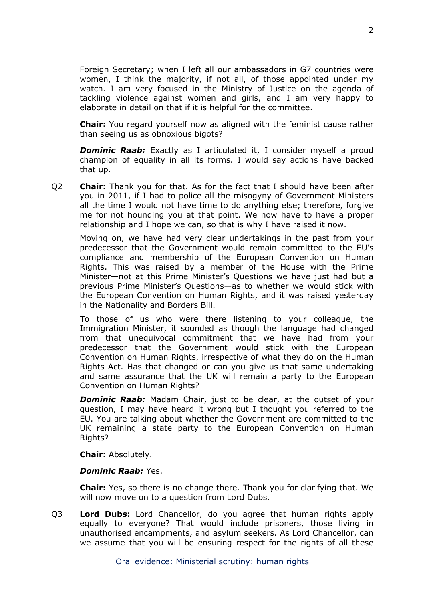Foreign Secretary; when I left all our ambassadors in G7 countries were women, I think the majority, if not all, of those appointed under my watch. I am very focused in the Ministry of Justice on the agenda of tackling violence against women and girls, and I am very happy to elaborate in detail on that if it is helpful for the committee.

**Chair:** You regard yourself now as aligned with the feminist cause rather than seeing us as obnoxious bigots?

**Dominic Raab:** Exactly as I articulated it, I consider myself a proud champion of equality in all its forms. I would say actions have backed that up.

Q2 **Chair:** Thank you for that. As for the fact that I should have been after you in 2011, if I had to police all the misogyny of Government Ministers all the time I would not have time to do anything else; therefore, forgive me for not hounding you at that point. We now have to have a proper relationship and I hope we can, so that is why I have raised it now.

Moving on, we have had very clear undertakings in the past from your predecessor that the Government would remain committed to the EU's compliance and membership of the European Convention on Human Rights. This was raised by a member of the House with the Prime Minister—not at this Prime Minister's Questions we have just had but a previous Prime Minister's Questions—as to whether we would stick with the European Convention on Human Rights, and it was raised yesterday in the Nationality and Borders Bill.

To those of us who were there listening to your colleague, the Immigration Minister, it sounded as though the language had changed from that unequivocal commitment that we have had from your predecessor that the Government would stick with the European Convention on Human Rights, irrespective of what they do on the Human Rights Act. Has that changed or can you give us that same undertaking and same assurance that the UK will remain a party to the European Convention on Human Rights?

*Dominic Raab:* Madam Chair, just to be clear, at the outset of your question, I may have heard it wrong but I thought you referred to the EU. You are talking about whether the Government are committed to the UK remaining a state party to the European Convention on Human Rights?

**Chair:** Absolutely.

## *Dominic Raab:* Yes.

**Chair:** Yes, so there is no change there. Thank you for clarifying that. We will now move on to a question from Lord Dubs.

Q3 **Lord Dubs:** Lord Chancellor, do you agree that human rights apply equally to everyone? That would include prisoners, those living in unauthorised encampments, and asylum seekers. As Lord Chancellor, can we assume that you will be ensuring respect for the rights of all these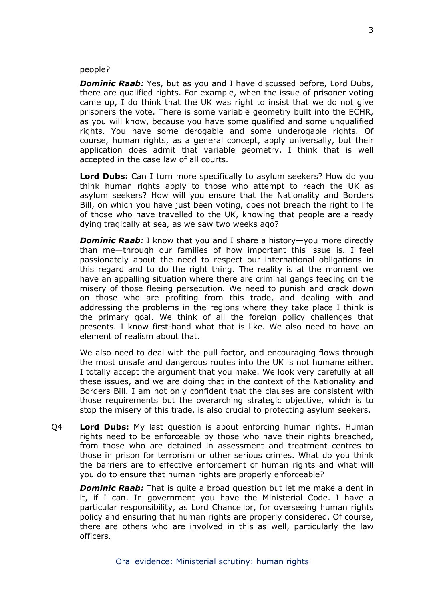#### people?

*Dominic Raab:* Yes, but as you and I have discussed before, Lord Dubs, there are qualified rights. For example, when the issue of prisoner voting came up, I do think that the UK was right to insist that we do not give prisoners the vote. There is some variable geometry built into the ECHR, as you will know, because you have some qualified and some unqualified rights. You have some derogable and some underogable rights. Of course, human rights, as a general concept, apply universally, but their application does admit that variable geometry. I think that is well accepted in the case law of all courts.

**Lord Dubs:** Can I turn more specifically to asylum seekers? How do you think human rights apply to those who attempt to reach the UK as asylum seekers? How will you ensure that the Nationality and Borders Bill, on which you have just been voting, does not breach the right to life of those who have travelled to the UK, knowing that people are already dying tragically at sea, as we saw two weeks ago?

*Dominic Raab:* I know that you and I share a history—you more directly than me—through our families of how important this issue is. I feel passionately about the need to respect our international obligations in this regard and to do the right thing. The reality is at the moment we have an appalling situation where there are criminal gangs feeding on the misery of those fleeing persecution. We need to punish and crack down on those who are profiting from this trade, and dealing with and addressing the problems in the regions where they take place I think is the primary goal. We think of all the foreign policy challenges that presents. I know first-hand what that is like. We also need to have an element of realism about that.

We also need to deal with the pull factor, and encouraging flows through the most unsafe and dangerous routes into the UK is not humane either. I totally accept the argument that you make. We look very carefully at all these issues, and we are doing that in the context of the Nationality and Borders Bill. I am not only confident that the clauses are consistent with those requirements but the overarching strategic objective, which is to stop the misery of this trade, is also crucial to protecting asylum seekers.

Q4 **Lord Dubs:** My last question is about enforcing human rights. Human rights need to be enforceable by those who have their rights breached, from those who are detained in assessment and treatment centres to those in prison for terrorism or other serious crimes. What do you think the barriers are to effective enforcement of human rights and what will you do to ensure that human rights are properly enforceable?

*Dominic Raab:* That is quite a broad question but let me make a dent in it, if I can. In government you have the Ministerial Code. I have a particular responsibility, as Lord Chancellor, for overseeing human rights policy and ensuring that human rights are properly considered. Of course, there are others who are involved in this as well, particularly the law officers.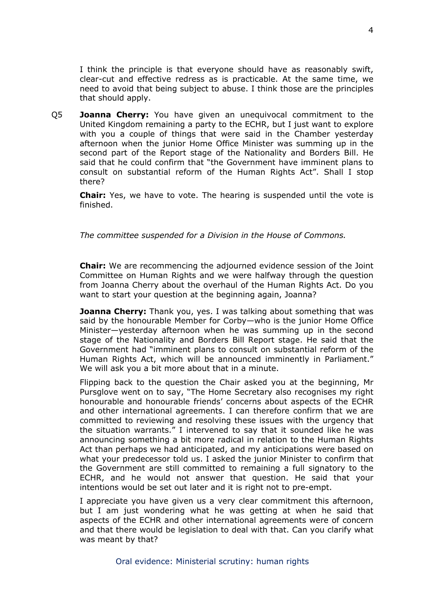I think the principle is that everyone should have as reasonably swift, clear-cut and effective redress as is practicable. At the same time, we need to avoid that being subject to abuse. I think those are the principles that should apply.

Q5 **Joanna Cherry:** You have given an unequivocal commitment to the United Kingdom remaining a party to the ECHR, but I just want to explore with you a couple of things that were said in the Chamber yesterday afternoon when the junior Home Office Minister was summing up in the second part of the Report stage of the Nationality and Borders Bill. He said that he could confirm that "the Government have imminent plans to consult on substantial reform of the Human Rights Act". Shall I stop there?

**Chair:** Yes, we have to vote. The hearing is suspended until the vote is finished.

*The committee suspended for a Division in the House of Commons.*

**Chair:** We are recommencing the adjourned evidence session of the Joint Committee on Human Rights and we were halfway through the question from Joanna Cherry about the overhaul of the Human Rights Act. Do you want to start your question at the beginning again, Joanna?

**Joanna Cherry:** Thank you, yes. I was talking about something that was said by the honourable Member for Corby—who is the junior Home Office Minister—yesterday afternoon when he was summing up in the second stage of the Nationality and Borders Bill Report stage. He said that the Government had "imminent plans to consult on substantial reform of the Human Rights Act, which will be announced imminently in Parliament." We will ask you a bit more about that in a minute.

Flipping back to the question the Chair asked you at the beginning, Mr Pursglove went on to say, "The Home Secretary also recognises my right honourable and honourable friends' concerns about aspects of the ECHR and other international agreements. I can therefore confirm that we are committed to reviewing and resolving these issues with the urgency that the situation warrants." I intervened to say that it sounded like he was announcing something a bit more radical in relation to the Human Rights Act than perhaps we had anticipated, and my anticipations were based on what your predecessor told us. I asked the junior Minister to confirm that the Government are still committed to remaining a full signatory to the ECHR, and he would not answer that question. He said that your intentions would be set out later and it is right not to pre-empt.

I appreciate you have given us a very clear commitment this afternoon, but I am just wondering what he was getting at when he said that aspects of the ECHR and other international agreements were of concern and that there would be legislation to deal with that. Can you clarify what was meant by that?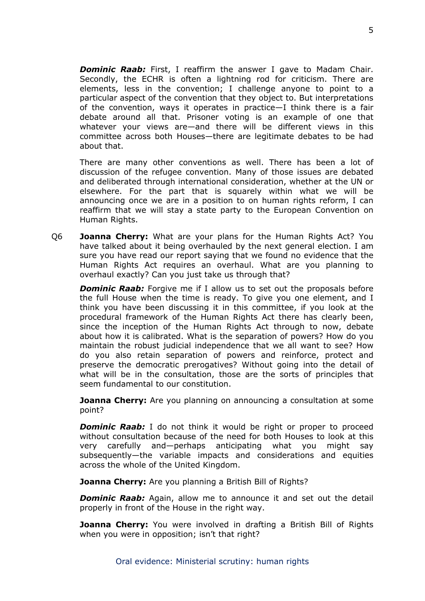*Dominic Raab:* First, I reaffirm the answer I gave to Madam Chair. Secondly, the ECHR is often a lightning rod for criticism. There are elements, less in the convention; I challenge anyone to point to a particular aspect of the convention that they object to. But interpretations of the convention, ways it operates in practice—I think there is a fair debate around all that. Prisoner voting is an example of one that whatever your views are—and there will be different views in this committee across both Houses—there are legitimate debates to be had about that.

There are many other conventions as well. There has been a lot of discussion of the refugee convention. Many of those issues are debated and deliberated through international consideration, whether at the UN or elsewhere. For the part that is squarely within what we will be announcing once we are in a position to on human rights reform, I can reaffirm that we will stay a state party to the European Convention on Human Rights.

Q6 **Joanna Cherry:** What are your plans for the Human Rights Act? You have talked about it being overhauled by the next general election. I am sure you have read our report saying that we found no evidence that the Human Rights Act requires an overhaul. What are you planning to overhaul exactly? Can you just take us through that?

*Dominic Raab:* Forgive me if I allow us to set out the proposals before the full House when the time is ready. To give you one element, and I think you have been discussing it in this committee, if you look at the procedural framework of the Human Rights Act there has clearly been, since the inception of the Human Rights Act through to now, debate about how it is calibrated. What is the separation of powers? How do you maintain the robust judicial independence that we all want to see? How do you also retain separation of powers and reinforce, protect and preserve the democratic prerogatives? Without going into the detail of what will be in the consultation, those are the sorts of principles that seem fundamental to our constitution.

**Joanna Cherry:** Are you planning on announcing a consultation at some point?

**Dominic Raab:** I do not think it would be right or proper to proceed without consultation because of the need for both Houses to look at this very carefully and—perhaps anticipating what you might say subsequently—the variable impacts and considerations and equities across the whole of the United Kingdom.

**Joanna Cherry:** Are you planning a British Bill of Rights?

**Dominic Raab:** Again, allow me to announce it and set out the detail properly in front of the House in the right way.

**Joanna Cherry:** You were involved in drafting a British Bill of Rights when you were in opposition; isn't that right?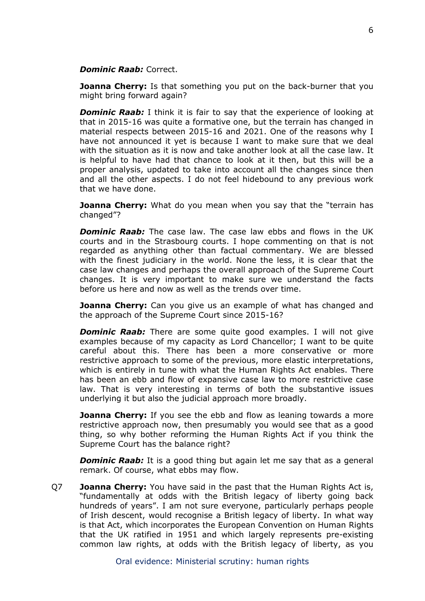## *Dominic Raab:* Correct.

**Joanna Cherry:** Is that something you put on the back-burner that you might bring forward again?

**Dominic Raab:** I think it is fair to say that the experience of looking at that in 2015-16 was quite a formative one, but the terrain has changed in material respects between 2015-16 and 2021. One of the reasons why I have not announced it yet is because I want to make sure that we deal with the situation as it is now and take another look at all the case law. It is helpful to have had that chance to look at it then, but this will be a proper analysis, updated to take into account all the changes since then and all the other aspects. I do not feel hidebound to any previous work that we have done.

**Joanna Cherry:** What do you mean when you say that the "terrain has changed"?

*Dominic Raab:* The case law. The case law ebbs and flows in the UK courts and in the Strasbourg courts. I hope commenting on that is not regarded as anything other than factual commentary. We are blessed with the finest judiciary in the world. None the less, it is clear that the case law changes and perhaps the overall approach of the Supreme Court changes. It is very important to make sure we understand the facts before us here and now as well as the trends over time.

**Joanna Cherry:** Can you give us an example of what has changed and the approach of the Supreme Court since 2015-16?

*Dominic Raab:* There are some quite good examples. I will not give examples because of my capacity as Lord Chancellor; I want to be quite careful about this. There has been a more conservative or more restrictive approach to some of the previous, more elastic interpretations, which is entirely in tune with what the Human Rights Act enables. There has been an ebb and flow of expansive case law to more restrictive case law. That is very interesting in terms of both the substantive issues underlying it but also the judicial approach more broadly.

**Joanna Cherry:** If you see the ebb and flow as leaning towards a more restrictive approach now, then presumably you would see that as a good thing, so why bother reforming the Human Rights Act if you think the Supreme Court has the balance right?

*Dominic Raab:* It is a good thing but again let me say that as a general remark. Of course, what ebbs may flow.

Q7 **Joanna Cherry:** You have said in the past that the Human Rights Act is, "fundamentally at odds with the British legacy of liberty going back hundreds of years". I am not sure everyone, particularly perhaps people of Irish descent, would recognise a British legacy of liberty. In what way is that Act, which incorporates the European Convention on Human Rights that the UK ratified in 1951 and which largely represents pre-existing common law rights, at odds with the British legacy of liberty, as you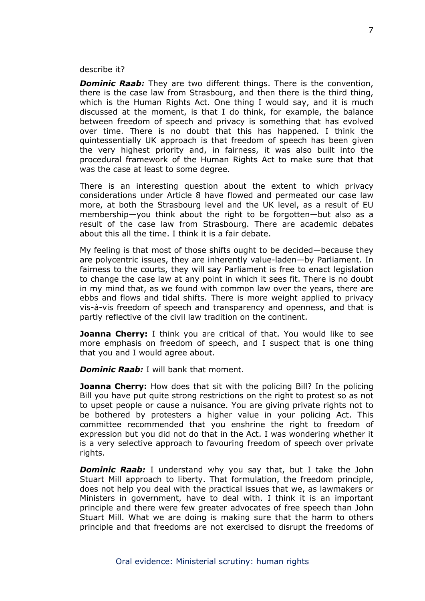#### describe it?

*Dominic Raab:* They are two different things. There is the convention, there is the case law from Strasbourg, and then there is the third thing, which is the Human Rights Act. One thing I would say, and it is much discussed at the moment, is that I do think, for example, the balance between freedom of speech and privacy is something that has evolved over time. There is no doubt that this has happened. I think the quintessentially UK approach is that freedom of speech has been given the very highest priority and, in fairness, it was also built into the procedural framework of the Human Rights Act to make sure that that was the case at least to some degree.

There is an interesting question about the extent to which privacy considerations under Article 8 have flowed and permeated our case law more, at both the Strasbourg level and the UK level, as a result of EU membership—you think about the right to be forgotten—but also as a result of the case law from Strasbourg. There are academic debates about this all the time. I think it is a fair debate.

My feeling is that most of those shifts ought to be decided—because they are polycentric issues, they are inherently value-laden—by Parliament. In fairness to the courts, they will say Parliament is free to enact legislation to change the case law at any point in which it sees fit. There is no doubt in my mind that, as we found with common law over the years, there are ebbs and flows and tidal shifts. There is more weight applied to privacy vis-à-vis freedom of speech and transparency and openness, and that is partly reflective of the civil law tradition on the continent.

**Joanna Cherry:** I think you are critical of that. You would like to see more emphasis on freedom of speech, and I suspect that is one thing that you and I would agree about.

*Dominic Raab:* I will bank that moment.

**Joanna Cherry:** How does that sit with the policing Bill? In the policing Bill you have put quite strong restrictions on the right to protest so as not to upset people or cause a nuisance. You are giving private rights not to be bothered by protesters a higher value in your policing Act. This committee recommended that you enshrine the right to freedom of expression but you did not do that in the Act. I was wondering whether it is a very selective approach to favouring freedom of speech over private rights.

**Dominic Raab:** I understand why you say that, but I take the John Stuart Mill approach to liberty. That formulation, the freedom principle, does not help you deal with the practical issues that we, as lawmakers or Ministers in government, have to deal with. I think it is an important principle and there were few greater advocates of free speech than John Stuart Mill. What we are doing is making sure that the harm to others principle and that freedoms are not exercised to disrupt the freedoms of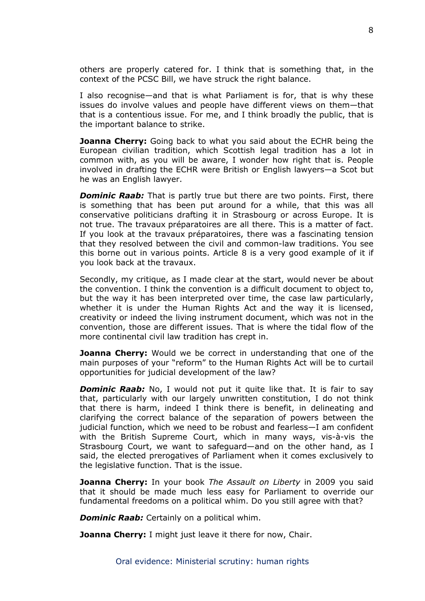others are properly catered for. I think that is something that, in the context of the PCSC Bill, we have struck the right balance.

I also recognise—and that is what Parliament is for, that is why these issues do involve values and people have different views on them—that that is a contentious issue. For me, and I think broadly the public, that is the important balance to strike.

**Joanna Cherry:** Going back to what you said about the ECHR being the European civilian tradition, which Scottish legal tradition has a lot in common with, as you will be aware, I wonder how right that is. People involved in drafting the ECHR were British or English lawyers—a Scot but he was an English lawyer.

*Dominic Raab:* That is partly true but there are two points. First, there is something that has been put around for a while, that this was all conservative politicians drafting it in Strasbourg or across Europe. It is not true. The travaux préparatoires are all there. This is a matter of fact. If you look at the travaux préparatoires, there was a fascinating tension that they resolved between the civil and common-law traditions. You see this borne out in various points. Article 8 is a very good example of it if you look back at the travaux.

Secondly, my critique, as I made clear at the start, would never be about the convention. I think the convention is a difficult document to object to, but the way it has been interpreted over time, the case law particularly, whether it is under the Human Rights Act and the way it is licensed, creativity or indeed the living instrument document, which was not in the convention, those are different issues. That is where the tidal flow of the more continental civil law tradition has crept in.

**Joanna Cherry:** Would we be correct in understanding that one of the main purposes of your "reform" to the Human Rights Act will be to curtail opportunities for judicial development of the law?

*Dominic Raab:* No, I would not put it quite like that. It is fair to say that, particularly with our largely unwritten constitution, I do not think that there is harm, indeed I think there is benefit, in delineating and clarifying the correct balance of the separation of powers between the judicial function, which we need to be robust and fearless—I am confident with the British Supreme Court, which in many ways, vis-à-vis the Strasbourg Court, we want to safeguard—and on the other hand, as I said, the elected prerogatives of Parliament when it comes exclusively to the legislative function. That is the issue.

**Joanna Cherry:** In your book *The Assault on Liberty* in 2009 you said that it should be made much less easy for Parliament to override our fundamental freedoms on a political whim. Do you still agree with that?

*Dominic Raab:* Certainly on a political whim.

**Joanna Cherry:** I might just leave it there for now, Chair.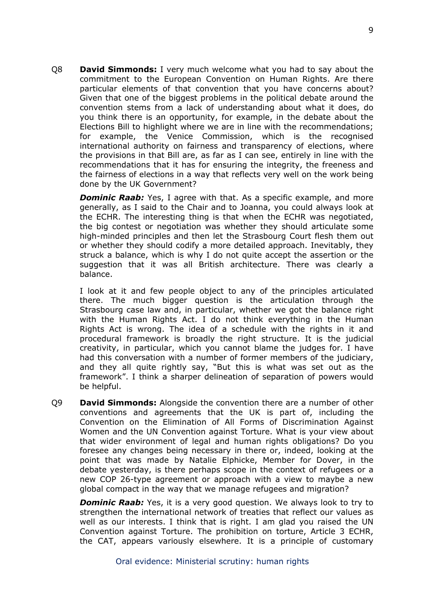Q8 **David Simmonds:** I very much welcome what you had to say about the commitment to the European Convention on Human Rights. Are there particular elements of that convention that you have concerns about? Given that one of the biggest problems in the political debate around the convention stems from a lack of understanding about what it does, do you think there is an opportunity, for example, in the debate about the Elections Bill to highlight where we are in line with the recommendations; for example, the Venice Commission, which is the recognised international authority on fairness and transparency of elections, where the provisions in that Bill are, as far as I can see, entirely in line with the recommendations that it has for ensuring the integrity, the freeness and the fairness of elections in a way that reflects very well on the work being done by the UK Government?

*Dominic Raab:* Yes, I agree with that. As a specific example, and more generally, as I said to the Chair and to Joanna, you could always look at the ECHR. The interesting thing is that when the ECHR was negotiated, the big contest or negotiation was whether they should articulate some high-minded principles and then let the Strasbourg Court flesh them out or whether they should codify a more detailed approach. Inevitably, they struck a balance, which is why I do not quite accept the assertion or the suggestion that it was all British architecture. There was clearly a balance.

I look at it and few people object to any of the principles articulated there. The much bigger question is the articulation through the Strasbourg case law and, in particular, whether we got the balance right with the Human Rights Act. I do not think everything in the Human Rights Act is wrong. The idea of a schedule with the rights in it and procedural framework is broadly the right structure. It is the judicial creativity, in particular, which you cannot blame the judges for. I have had this conversation with a number of former members of the judiciary, and they all quite rightly say, "But this is what was set out as the framework". I think a sharper delineation of separation of powers would be helpful.

Q9 **David Simmonds:** Alongside the convention there are a number of other conventions and agreements that the UK is part of, including the Convention on the Elimination of All Forms of Discrimination Against Women and the UN Convention against Torture. What is your view about that wider environment of legal and human rights obligations? Do you foresee any changes being necessary in there or, indeed, looking at the point that was made by Natalie Elphicke, Member for Dover, in the debate yesterday, is there perhaps scope in the context of refugees or a new COP 26-type agreement or approach with a view to maybe a new global compact in the way that we manage refugees and migration?

*Dominic Raab:* Yes, it is a very good question. We always look to try to strengthen the international network of treaties that reflect our values as well as our interests. I think that is right. I am glad you raised the UN Convention against Torture. The prohibition on torture, Article 3 ECHR, the CAT, appears variously elsewhere. It is a principle of customary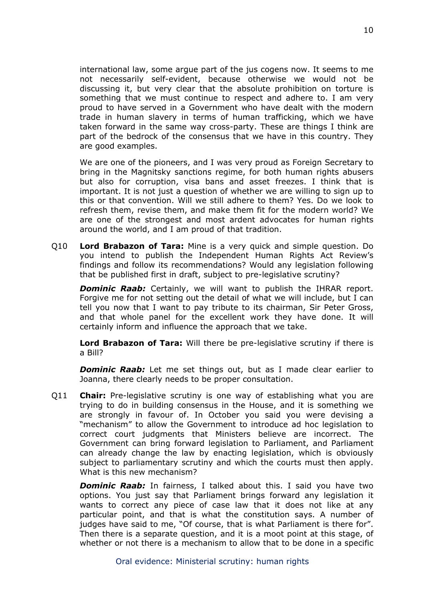international law, some argue part of the jus cogens now. It seems to me not necessarily self-evident, because otherwise we would not be discussing it, but very clear that the absolute prohibition on torture is something that we must continue to respect and adhere to. I am very proud to have served in a Government who have dealt with the modern trade in human slavery in terms of human trafficking, which we have taken forward in the same way cross-party. These are things I think are part of the bedrock of the consensus that we have in this country. They are good examples.

We are one of the pioneers, and I was very proud as Foreign Secretary to bring in the Magnitsky sanctions regime, for both human rights abusers but also for corruption, visa bans and asset freezes. I think that is important. It is not just a question of whether we are willing to sign up to this or that convention. Will we still adhere to them? Yes. Do we look to refresh them, revise them, and make them fit for the modern world? We are one of the strongest and most ardent advocates for human rights around the world, and I am proud of that tradition.

Q10 **Lord Brabazon of Tara:** Mine is a very quick and simple question. Do you intend to publish the Independent Human Rights Act Review's findings and follow its recommendations? Would any legislation following that be published first in draft, subject to pre-legislative scrutiny?

*Dominic Raab:* Certainly, we will want to publish the IHRAR report. Forgive me for not setting out the detail of what we will include, but I can tell you now that I want to pay tribute to its chairman, Sir Peter Gross, and that whole panel for the excellent work they have done. It will certainly inform and influence the approach that we take.

**Lord Brabazon of Tara:** Will there be pre-legislative scrutiny if there is a Bill?

*Dominic Raab:* Let me set things out, but as I made clear earlier to Joanna, there clearly needs to be proper consultation.

Q11 **Chair:** Pre-legislative scrutiny is one way of establishing what you are trying to do in building consensus in the House, and it is something we are strongly in favour of. In October you said you were devising a "mechanism" to allow the Government to introduce ad hoc legislation to correct court judgments that Ministers believe are incorrect. The Government can bring forward legislation to Parliament, and Parliament can already change the law by enacting legislation, which is obviously subject to parliamentary scrutiny and which the courts must then apply. What is this new mechanism?

*Dominic Raab:* In fairness, I talked about this. I said you have two options. You just say that Parliament brings forward any legislation it wants to correct any piece of case law that it does not like at any particular point, and that is what the constitution says. A number of judges have said to me, "Of course, that is what Parliament is there for". Then there is a separate question, and it is a moot point at this stage, of whether or not there is a mechanism to allow that to be done in a specific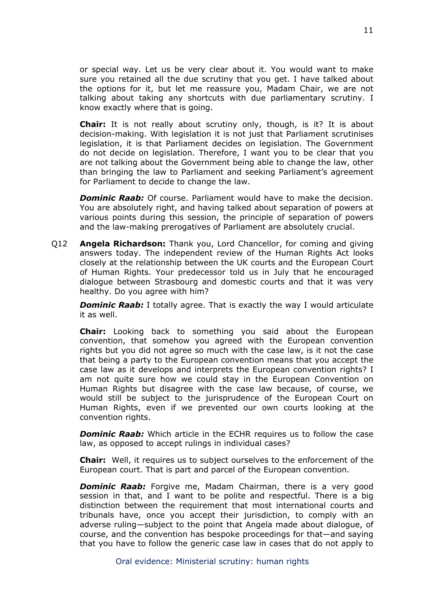or special way. Let us be very clear about it. You would want to make sure you retained all the due scrutiny that you get. I have talked about the options for it, but let me reassure you, Madam Chair, we are not talking about taking any shortcuts with due parliamentary scrutiny. I know exactly where that is going.

**Chair:** It is not really about scrutiny only, though, is it? It is about decision-making. With legislation it is not just that Parliament scrutinises legislation, it is that Parliament decides on legislation. The Government do not decide on legislation. Therefore, I want you to be clear that you are not talking about the Government being able to change the law, other than bringing the law to Parliament and seeking Parliament's agreement for Parliament to decide to change the law.

*Dominic Raab:* Of course. Parliament would have to make the decision. You are absolutely right, and having talked about separation of powers at various points during this session, the principle of separation of powers and the law-making prerogatives of Parliament are absolutely crucial.

Q12 **Angela Richardson:** Thank you, Lord Chancellor, for coming and giving answers today. The independent review of the Human Rights Act looks closely at the relationship between the UK courts and the European Court of Human Rights. Your predecessor told us in July that he encouraged dialogue between Strasbourg and domestic courts and that it was very healthy. Do you agree with him?

*Dominic Raab:* I totally agree. That is exactly the way I would articulate it as well.

**Chair:** Looking back to something you said about the European convention, that somehow you agreed with the European convention rights but you did not agree so much with the case law, is it not the case that being a party to the European convention means that you accept the case law as it develops and interprets the European convention rights? I am not quite sure how we could stay in the European Convention on Human Rights but disagree with the case law because, of course, we would still be subject to the jurisprudence of the European Court on Human Rights, even if we prevented our own courts looking at the convention rights.

*Dominic Raab:* Which article in the ECHR requires us to follow the case law, as opposed to accept rulings in individual cases?

**Chair:** Well, it requires us to subject ourselves to the enforcement of the European court. That is part and parcel of the European convention.

*Dominic Raab:* Forgive me, Madam Chairman, there is a very good session in that, and I want to be polite and respectful. There is a big distinction between the requirement that most international courts and tribunals have, once you accept their jurisdiction, to comply with an adverse ruling—subject to the point that Angela made about dialogue, of course, and the convention has bespoke proceedings for that—and saying that you have to follow the generic case law in cases that do not apply to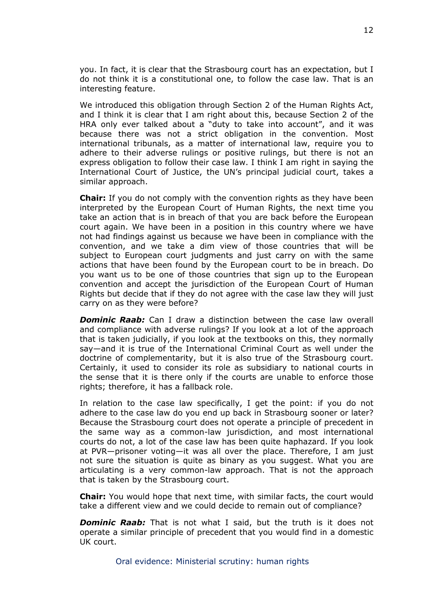you. In fact, it is clear that the Strasbourg court has an expectation, but I do not think it is a constitutional one, to follow the case law. That is an interesting feature.

We introduced this obligation through Section 2 of the Human Rights Act, and I think it is clear that I am right about this, because Section 2 of the HRA only ever talked about a "duty to take into account", and it was because there was not a strict obligation in the convention. Most international tribunals, as a matter of international law, require you to adhere to their adverse rulings or positive rulings, but there is not an express obligation to follow their case law. I think I am right in saying the International Court of Justice, the UN's principal judicial court, takes a similar approach.

**Chair:** If you do not comply with the convention rights as they have been interpreted by the European Court of Human Rights, the next time you take an action that is in breach of that you are back before the European court again. We have been in a position in this country where we have not had findings against us because we have been in compliance with the convention, and we take a dim view of those countries that will be subject to European court judgments and just carry on with the same actions that have been found by the European court to be in breach. Do you want us to be one of those countries that sign up to the European convention and accept the jurisdiction of the European Court of Human Rights but decide that if they do not agree with the case law they will just carry on as they were before?

*Dominic Raab:* Can I draw a distinction between the case law overall and compliance with adverse rulings? If you look at a lot of the approach that is taken judicially, if you look at the textbooks on this, they normally say—and it is true of the International Criminal Court as well under the doctrine of complementarity, but it is also true of the Strasbourg court. Certainly, it used to consider its role as subsidiary to national courts in the sense that it is there only if the courts are unable to enforce those rights; therefore, it has a fallback role.

In relation to the case law specifically, I get the point: if you do not adhere to the case law do you end up back in Strasbourg sooner or later? Because the Strasbourg court does not operate a principle of precedent in the same way as a common-law jurisdiction, and most international courts do not, a lot of the case law has been quite haphazard. If you look at PVR—prisoner voting—it was all over the place. Therefore, I am just not sure the situation is quite as binary as you suggest. What you are articulating is a very common-law approach. That is not the approach that is taken by the Strasbourg court.

**Chair:** You would hope that next time, with similar facts, the court would take a different view and we could decide to remain out of compliance?

*Dominic Raab:* That is not what I said, but the truth is it does not operate a similar principle of precedent that you would find in a domestic UK court.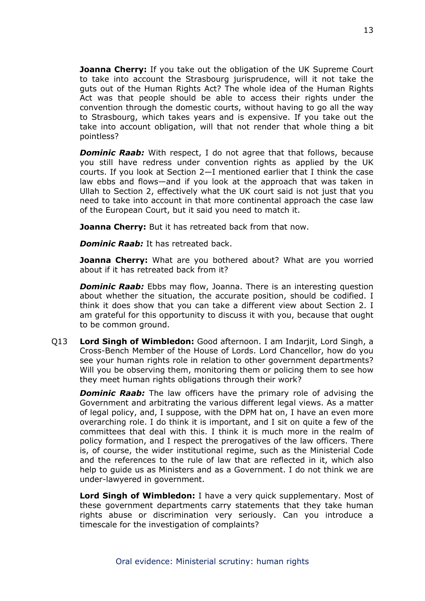**Joanna Cherry:** If you take out the obligation of the UK Supreme Court to take into account the Strasbourg jurisprudence, will it not take the guts out of the Human Rights Act? The whole idea of the Human Rights Act was that people should be able to access their rights under the convention through the domestic courts, without having to go all the way to Strasbourg, which takes years and is expensive. If you take out the take into account obligation, will that not render that whole thing a bit pointless?

*Dominic Raab:* With respect, I do not agree that that follows, because you still have redress under convention rights as applied by the UK courts. If you look at Section 2—I mentioned earlier that I think the case law ebbs and flows—and if you look at the approach that was taken in Ullah to Section 2, effectively what the UK court said is not just that you need to take into account in that more continental approach the case law of the European Court, but it said you need to match it.

**Joanna Cherry:** But it has retreated back from that now.

*Dominic Raab:* It has retreated back.

**Joanna Cherry:** What are you bothered about? What are you worried about if it has retreated back from it?

*Dominic Raab:* Ebbs may flow, Joanna. There is an interesting question about whether the situation, the accurate position, should be codified. I think it does show that you can take a different view about Section 2. I am grateful for this opportunity to discuss it with you, because that ought to be common ground.

Q13 **Lord Singh of Wimbledon:** Good afternoon. I am Indarjit, Lord Singh, a Cross-Bench Member of the House of Lords. Lord Chancellor, how do you see your human rights role in relation to other government departments? Will you be observing them, monitoring them or policing them to see how they meet human rights obligations through their work?

*Dominic Raab:* The law officers have the primary role of advising the Government and arbitrating the various different legal views. As a matter of legal policy, and, I suppose, with the DPM hat on, I have an even more overarching role. I do think it is important, and I sit on quite a few of the committees that deal with this. I think it is much more in the realm of policy formation, and I respect the prerogatives of the law officers. There is, of course, the wider institutional regime, such as the Ministerial Code and the references to the rule of law that are reflected in it, which also help to guide us as Ministers and as a Government. I do not think we are under-lawyered in government.

**Lord Singh of Wimbledon:** I have a very quick supplementary. Most of these government departments carry statements that they take human rights abuse or discrimination very seriously. Can you introduce a timescale for the investigation of complaints?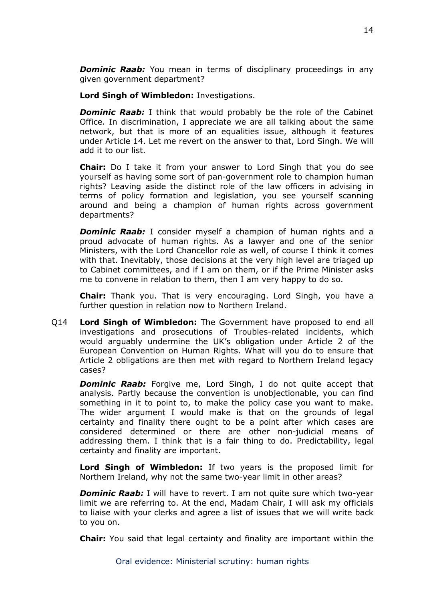**Dominic Raab:** You mean in terms of disciplinary proceedings in any given government department?

**Lord Singh of Wimbledon:** Investigations.

*Dominic Raab:* I think that would probably be the role of the Cabinet Office. In discrimination, I appreciate we are all talking about the same network, but that is more of an equalities issue, although it features under Article 14. Let me revert on the answer to that, Lord Singh. We will add it to our list.

**Chair:** Do I take it from your answer to Lord Singh that you do see yourself as having some sort of pan-government role to champion human rights? Leaving aside the distinct role of the law officers in advising in terms of policy formation and legislation, you see yourself scanning around and being a champion of human rights across government departments?

*Dominic Raab:* I consider myself a champion of human rights and a proud advocate of human rights. As a lawyer and one of the senior Ministers, with the Lord Chancellor role as well, of course I think it comes with that. Inevitably, those decisions at the very high level are triaged up to Cabinet committees, and if I am on them, or if the Prime Minister asks me to convene in relation to them, then I am very happy to do so.

**Chair:** Thank you. That is very encouraging. Lord Singh, you have a further question in relation now to Northern Ireland.

Q14 **Lord Singh of Wimbledon:** The Government have proposed to end all investigations and prosecutions of Troubles-related incidents, which would arguably undermine the UK's obligation under Article 2 of the European Convention on Human Rights. What will you do to ensure that Article 2 obligations are then met with regard to Northern Ireland legacy cases?

**Dominic Raab:** Forgive me, Lord Singh, I do not quite accept that analysis. Partly because the convention is unobjectionable, you can find something in it to point to, to make the policy case you want to make. The wider argument I would make is that on the grounds of legal certainty and finality there ought to be a point after which cases are considered determined or there are other non-judicial means of addressing them. I think that is a fair thing to do. Predictability, legal certainty and finality are important.

**Lord Singh of Wimbledon:** If two years is the proposed limit for Northern Ireland, why not the same two-year limit in other areas?

*Dominic Raab:* I will have to revert. I am not quite sure which two-year limit we are referring to. At the end, Madam Chair, I will ask my officials to liaise with your clerks and agree a list of issues that we will write back to you on.

**Chair:** You said that legal certainty and finality are important within the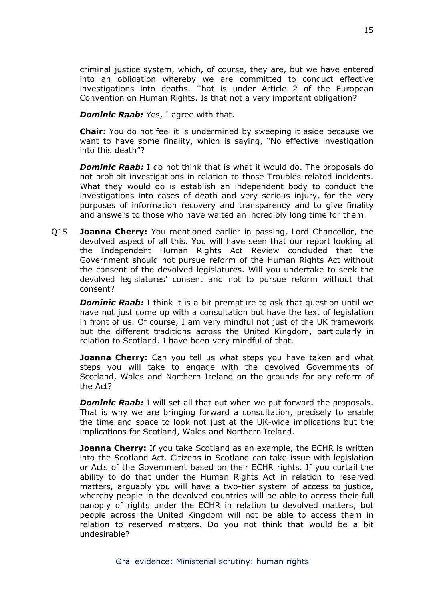criminal justice system, which, of course, they are, but we have entered into an obligation whereby we are committed to conduct effective investigations into deaths. That is under Article 2 of the European Convention on Human Rights. Is that not a very important obligation?

*Dominic Raab:* Yes, I agree with that.

**Chair:** You do not feel it is undermined by sweeping it aside because we want to have some finality, which is saying, "No effective investigation into this death"?

*Dominic Raab:* I do not think that is what it would do. The proposals do not prohibit investigations in relation to those Troubles-related incidents. What they would do is establish an independent body to conduct the investigations into cases of death and very serious injury, for the very purposes of information recovery and transparency and to give finality and answers to those who have waited an incredibly long time for them.

Q15 **Joanna Cherry:** You mentioned earlier in passing, Lord Chancellor, the devolved aspect of all this. You will have seen that our report looking at the Independent Human Rights Act Review concluded that the Government should not pursue reform of the Human Rights Act without the consent of the devolved legislatures. Will you undertake to seek the devolved legislatures' consent and not to pursue reform without that consent?

*Dominic Raab:* I think it is a bit premature to ask that question until we have not just come up with a consultation but have the text of legislation in front of us. Of course, I am very mindful not just of the UK framework but the different traditions across the United Kingdom, particularly in relation to Scotland. I have been very mindful of that.

**Joanna Cherry:** Can you tell us what steps you have taken and what steps you will take to engage with the devolved Governments of Scotland, Wales and Northern Ireland on the grounds for any reform of the Act?

*Dominic Raab:* I will set all that out when we put forward the proposals. That is why we are bringing forward a consultation, precisely to enable the time and space to look not just at the UK-wide implications but the implications for Scotland, Wales and Northern Ireland.

**Joanna Cherry:** If you take Scotland as an example, the ECHR is written into the Scotland Act. Citizens in Scotland can take issue with legislation or Acts of the Government based on their ECHR rights. If you curtail the ability to do that under the Human Rights Act in relation to reserved matters, arguably you will have a two-tier system of access to justice, whereby people in the devolved countries will be able to access their full panoply of rights under the ECHR in relation to devolved matters, but people across the United Kingdom will not be able to access them in relation to reserved matters. Do you not think that would be a bit undesirable?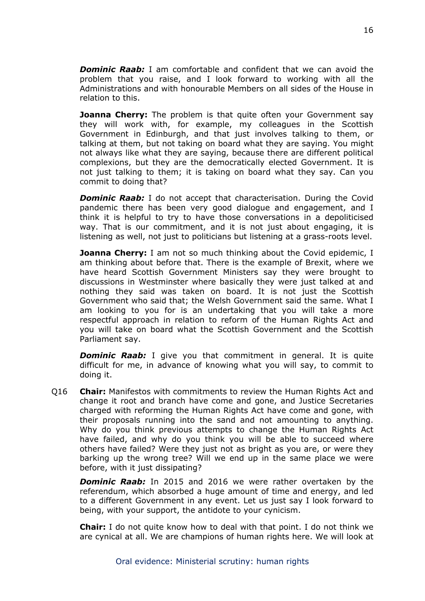*Dominic Raab:* I am comfortable and confident that we can avoid the problem that you raise, and I look forward to working with all the Administrations and with honourable Members on all sides of the House in relation to this.

**Joanna Cherry:** The problem is that quite often your Government say they will work with, for example, my colleagues in the Scottish Government in Edinburgh, and that just involves talking to them, or talking at them, but not taking on board what they are saying. You might not always like what they are saying, because there are different political complexions, but they are the democratically elected Government. It is not just talking to them; it is taking on board what they say. Can you commit to doing that?

*Dominic Raab:* I do not accept that characterisation. During the Covid pandemic there has been very good dialogue and engagement, and I think it is helpful to try to have those conversations in a depoliticised way. That is our commitment, and it is not just about engaging, it is listening as well, not just to politicians but listening at a grass-roots level.

**Joanna Cherry:** I am not so much thinking about the Covid epidemic, I am thinking about before that. There is the example of Brexit, where we have heard Scottish Government Ministers say they were brought to discussions in Westminster where basically they were just talked at and nothing they said was taken on board. It is not just the Scottish Government who said that; the Welsh Government said the same. What I am looking to you for is an undertaking that you will take a more respectful approach in relation to reform of the Human Rights Act and you will take on board what the Scottish Government and the Scottish Parliament say.

*Dominic Raab:* I give you that commitment in general. It is quite difficult for me, in advance of knowing what you will say, to commit to doing it.

Q16 **Chair:** Manifestos with commitments to review the Human Rights Act and change it root and branch have come and gone, and Justice Secretaries charged with reforming the Human Rights Act have come and gone, with their proposals running into the sand and not amounting to anything. Why do you think previous attempts to change the Human Rights Act have failed, and why do you think you will be able to succeed where others have failed? Were they just not as bright as you are, or were they barking up the wrong tree? Will we end up in the same place we were before, with it just dissipating?

*Dominic Raab:* In 2015 and 2016 we were rather overtaken by the referendum, which absorbed a huge amount of time and energy, and led to a different Government in any event. Let us just say I look forward to being, with your support, the antidote to your cynicism.

**Chair:** I do not quite know how to deal with that point. I do not think we are cynical at all. We are champions of human rights here. We will look at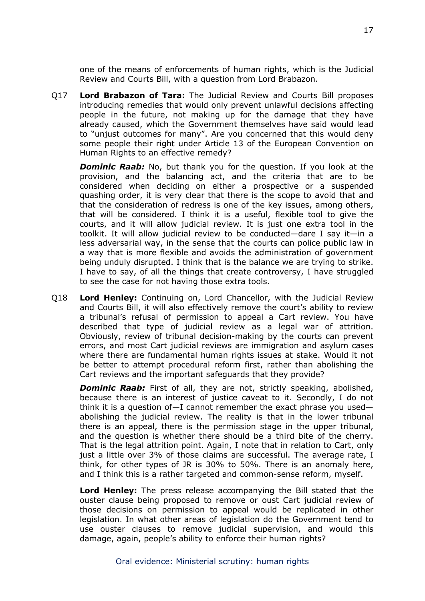one of the means of enforcements of human rights, which is the Judicial Review and Courts Bill, with a question from Lord Brabazon.

Q17 **Lord Brabazon of Tara:** The Judicial Review and Courts Bill proposes introducing remedies that would only prevent unlawful decisions affecting people in the future, not making up for the damage that they have already caused, which the Government themselves have said would lead to "unjust outcomes for many". Are you concerned that this would deny some people their right under Article 13 of the European Convention on Human Rights to an effective remedy?

*Dominic Raab:* No, but thank you for the question. If you look at the provision, and the balancing act, and the criteria that are to be considered when deciding on either a prospective or a suspended quashing order, it is very clear that there is the scope to avoid that and that the consideration of redress is one of the key issues, among others, that will be considered. I think it is a useful, flexible tool to give the courts, and it will allow judicial review. It is just one extra tool in the toolkit. It will allow judicial review to be conducted—dare I say it—in a less adversarial way, in the sense that the courts can police public law in a way that is more flexible and avoids the administration of government being unduly disrupted. I think that is the balance we are trying to strike. I have to say, of all the things that create controversy, I have struggled to see the case for not having those extra tools.

Q18 **Lord Henley:** Continuing on, Lord Chancellor, with the Judicial Review and Courts Bill, it will also effectively remove the court's ability to review a tribunal's refusal of permission to appeal a Cart review. You have described that type of judicial review as a legal war of attrition. Obviously, review of tribunal decision-making by the courts can prevent errors, and most Cart judicial reviews are immigration and asylum cases where there are fundamental human rights issues at stake. Would it not be better to attempt procedural reform first, rather than abolishing the Cart reviews and the important safeguards that they provide?

*Dominic Raab:* First of all, they are not, strictly speaking, abolished, because there is an interest of justice caveat to it. Secondly, I do not think it is a question of—I cannot remember the exact phrase you used abolishing the judicial review. The reality is that in the lower tribunal there is an appeal, there is the permission stage in the upper tribunal, and the question is whether there should be a third bite of the cherry. That is the legal attrition point. Again, I note that in relation to Cart, only just a little over 3% of those claims are successful. The average rate, I think, for other types of JR is 30% to 50%. There is an anomaly here, and I think this is a rather targeted and common-sense reform, myself.

**Lord Henley:** The press release accompanying the Bill stated that the ouster clause being proposed to remove or oust Cart judicial review of those decisions on permission to appeal would be replicated in other legislation. In what other areas of legislation do the Government tend to use ouster clauses to remove judicial supervision, and would this damage, again, people's ability to enforce their human rights?